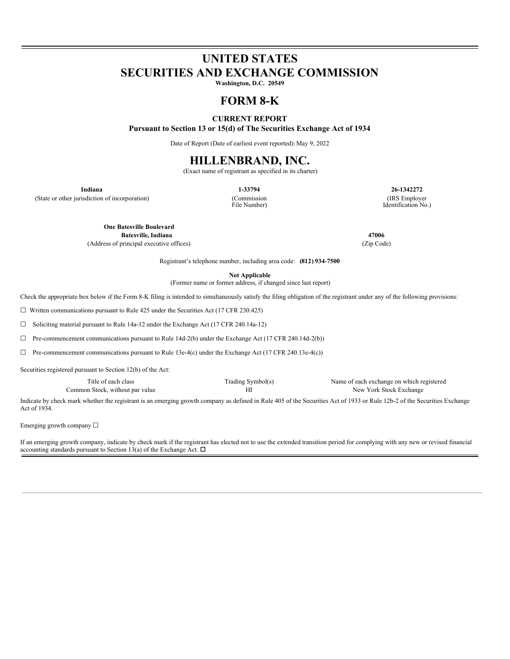# **UNITED STATES SECURITIES AND EXCHANGE COMMISSION**

**Washington, D.C. 20549**

# **FORM 8-K**

# **CURRENT REPORT**

**Pursuant to Section 13 or 15(d) of The Securities Exchange Act of 1934**

Date of Report (Date of earliest event reported): May 9, 2022

# **HILLENBRAND, INC.**

(Exact name of registrant as specified in its charter)

(State or other jurisdiction of incorporation) (Commission

File Number)

**Indiana 1-33794 26-1342272** (IRS Employer Identification No.)

**One Batesville Boulevard Batesville,Indiana 47006**

(Address of principal executive offices) (Zip Code)

Registrant's telephone number, including area code: **(812) 934-7500**

**Not Applicable**

(Former name or former address, if changed since last report)

Check the appropriate box below if the Form 8-K filing is intended to simultaneously satisfy the filing obligation of the registrant under any of the following provisions:

☐ Written communications pursuant to Rule 425 under the Securities Act (17 CFR 230.425)

☐ Soliciting material pursuant to Rule 14a-12 under the Exchange Act (17 CFR 240.14a-12)

☐ Pre-commencement communications pursuant to Rule 14d-2(b) under the Exchange Act (17 CFR 240.14d-2(b))

 $\Box$  Pre-commencement communications pursuant to Rule 13e-4(c) under the Exchange Act (17 CFR 240.13e-4(c))

Securities registered pursuant to Section 12(b) of the Act:

Title of each class Trading Symbol(s) Name of each exchange on which registered Common Stock, without par value **HI** HI New York Stock Exchange

Indicate by check mark whether the registrant is an emerging growth company as defined in Rule 405 of the Securities Act of 1933 or Rule 12b-2 of the Securities Exchange Act of 1934.

Emerging growth company ☐

If an emerging growth company, indicate by check mark if the registrant has elected not to use the extended transition period for complying with any new or revised financial accounting standards pursuant to Section 13(a) of the Exchange Act.  $\Box$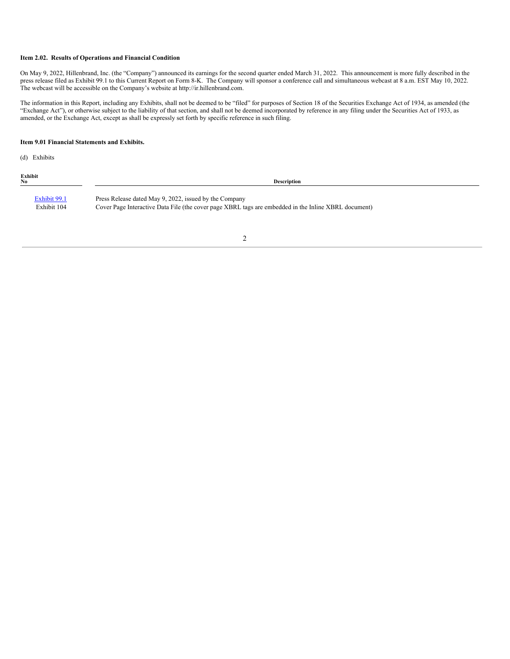#### **Item 2.02. Results of Operations and Financial Condition**

On May 9, 2022, Hillenbrand, Inc. (the "Company") announced its earnings for the second quarter ended March 31, 2022. This announcement is more fully described in the press release filed as Exhibit 99.1 to this Current Report on Form 8-K. The Company will sponsor a conference call and simultaneous webcast at 8 a.m. EST May 10, 2022. The webcast will be accessible on the Company's website at http://ir.hillenbrand.com.

The information in this Report, including any Exhibits, shall not be deemed to be "filed" for purposes of Section 18 of the Securities Exchange Act of 1934, as amended (the "Exchange Act"), or otherwise subject to the liability of that section, and shall not be deemed incorporated by reference in any filing under the Securities Act of 1933, as amended, or the Exchange Act, except as shall be expressly set forth by specific reference in such filing.

#### **Item 9.01 Financial Statements and Exhibits.**

(d) Exhibits

**Exhibit**

**No Description**

[Exhibit](#page-10-0) 99.1 Press Release dated May 9, 2022, issued by the Company Exhibit 104 Cover Page Interactive Data File (the cover page XBRL tags are embedded in the Inline XBRL document)

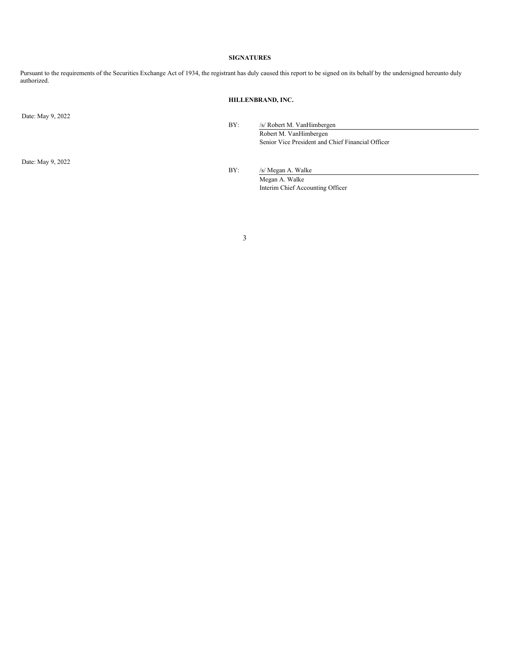### **SIGNATURES**

Pursuant to the requirements of the Securities Exchange Act of 1934, the registrant has duly caused this report to be signed on its behalf by the undersigned hereunto duly authorized.

# **HILLENBRAND, INC.**

Date: May 9, 2022

BY: /s/ Robert M. VanHimbergen Robert M. VanHimbergen

Senior Vice President and Chief Financial Officer

Date: May 9, 2022

BY: /s/ Megan A. Walke

Megan A. Walke Interim Chief Accounting Officer

3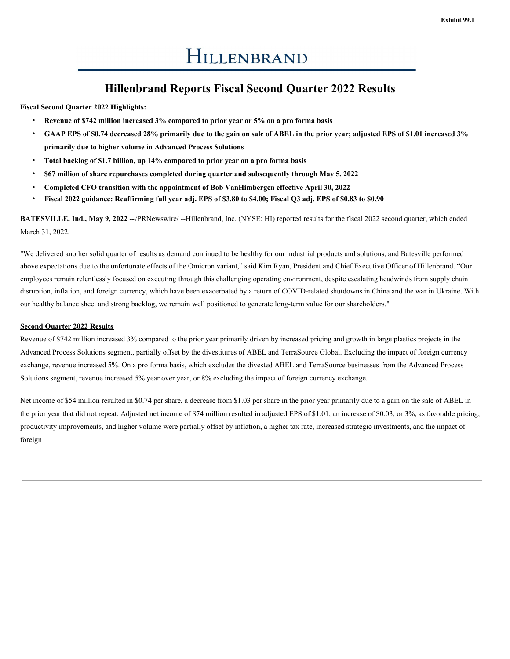# **Hillenbrand Reports Fiscal Second Quarter 2022 Results**

**Fiscal Second Quarter 2022 Highlights:**

- **Revenue of \$742 million increased 3% compared to prior year or 5% on a pro forma basis**
- GAAP EPS of \$0.74 decreased 28% primarily due to the gain on sale of ABEL in the prior year; adjusted EPS of \$1.01 increased 3% **primarily due to higher volume in Advanced Process Solutions**
- **Total backlog of \$1.7 billion, up 14% compared to prior year on a pro forma basis**
- **\$67 million of share repurchases completed during quarter and subsequently through May 5, 2022**
- **Completed CFO transition with the appointment of Bob VanHimbergen effective April 30, 2022**
- Fiscal 2022 guidance: Reaffirming full year adj. EPS of \$3.80 to \$4.00; Fiscal Q3 adj. EPS of \$0.83 to \$0.90

**BATESVILLE, Ind., May 9, 2022 --**/PRNewswire/ --Hillenbrand, Inc. (NYSE: HI) reported results for the fiscal 2022 second quarter, which ended March 31, 2022.

"We delivered another solid quarter of results as demand continued to be healthy for our industrial products and solutions, and Batesville performed above expectations due to the unfortunate effects of the Omicron variant," said Kim Ryan, President and Chief Executive Officer of Hillenbrand. "Our employees remain relentlessly focused on executing through this challenging operating environment, despite escalating headwinds from supply chain disruption, inflation, and foreign currency, which have been exacerbated by a return of COVID-related shutdowns in China and the war in Ukraine. With our healthy balance sheet and strong backlog, we remain well positioned to generate long-term value for our shareholders."

## **Second Quarter 2022 Results**

Revenue of \$742 million increased 3% compared to the prior year primarily driven by increased pricing and growth in large plastics projects in the Advanced Process Solutions segment, partially offset by the divestitures of ABEL and TerraSource Global. Excluding the impact of foreign currency exchange, revenue increased 5%. On a pro forma basis, which excludes the divested ABEL and TerraSource businesses from the Advanced Process Solutions segment, revenue increased 5% year over year, or 8% excluding the impact of foreign currency exchange.

Net income of \$54 million resulted in \$0.74 per share, a decrease from \$1.03 per share in the prior year primarily due to a gain on the sale of ABEL in the prior year that did not repeat. Adjusted net income of \$74 million resulted in adjusted EPS of \$1.01, an increase of \$0.03, or 3%, as favorable pricing, productivity improvements, and higher volume were partially offset by inflation, a higher tax rate, increased strategic investments, and the impact of foreign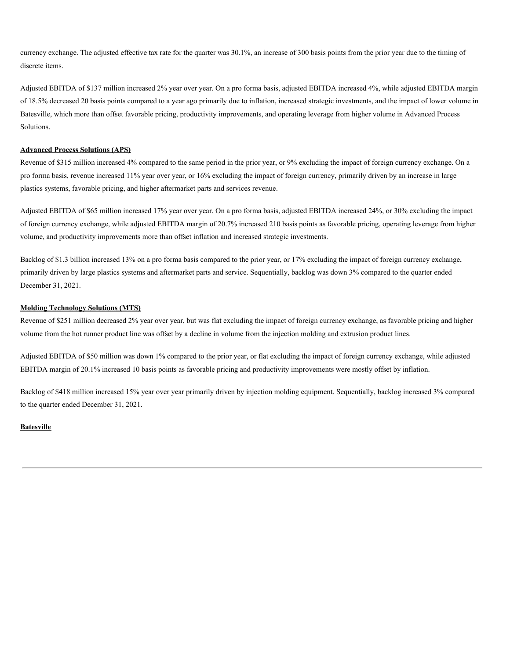currency exchange. The adjusted effective tax rate for the quarter was 30.1%, an increase of 300 basis points from the prior year due to the timing of discrete items.

Adjusted EBITDA of \$137 million increased 2% year over year. On a pro forma basis, adjusted EBITDA increased 4%, while adjusted EBITDA margin of 18.5% decreased 20 basis points compared to a year ago primarily due to inflation, increased strategic investments, and the impact of lower volume in Batesville, which more than offset favorable pricing, productivity improvements, and operating leverage from higher volume in Advanced Process Solutions.

# **Advanced Process Solutions (APS)**

Revenue of \$315 million increased 4% compared to the same period in the prior year, or 9% excluding the impact of foreign currency exchange. On a pro forma basis, revenue increased 11% year over year, or 16% excluding the impact of foreign currency, primarily driven by an increase in large plastics systems, favorable pricing, and higher aftermarket parts and services revenue.

Adjusted EBITDA of \$65 million increased 17% year over year. On a pro forma basis, adjusted EBITDA increased 24%, or 30% excluding the impact of foreign currency exchange, while adjusted EBITDA margin of 20.7% increased 210 basis points as favorable pricing, operating leverage from higher volume, and productivity improvements more than offset inflation and increased strategic investments.

Backlog of \$1.3 billion increased 13% on a pro forma basis compared to the prior year, or 17% excluding the impact of foreign currency exchange, primarily driven by large plastics systems and aftermarket parts and service. Sequentially, backlog was down 3% compared to the quarter ended December 31, 2021.

## **Molding Technology Solutions (MTS)**

Revenue of \$251 million decreased 2% year over year, but was flat excluding the impact of foreign currency exchange, as favorable pricing and higher volume from the hot runner product line was offset by a decline in volume from the injection molding and extrusion product lines.

Adjusted EBITDA of \$50 million was down 1% compared to the prior year, or flat excluding the impact of foreign currency exchange, while adjusted EBITDA margin of 20.1% increased 10 basis points as favorable pricing and productivity improvements were mostly offset by inflation.

Backlog of \$418 million increased 15% year over year primarily driven by injection molding equipment. Sequentially, backlog increased 3% compared to the quarter ended December 31, 2021.

## **Batesville**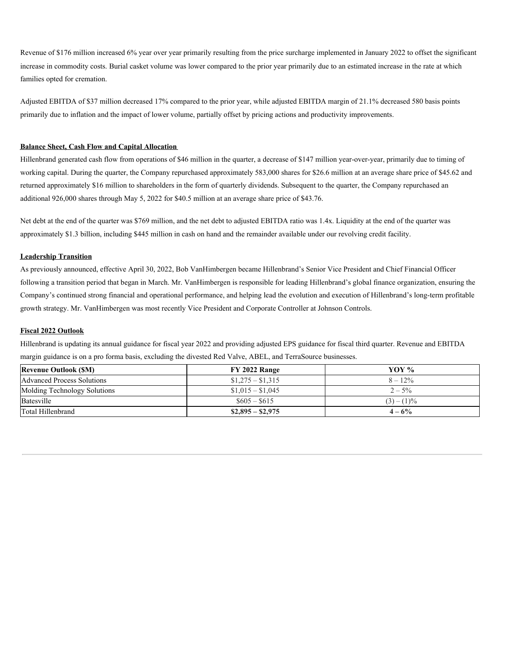Revenue of \$176 million increased 6% year over year primarily resulting from the price surcharge implemented in January 2022 to offset the significant increase in commodity costs. Burial casket volume was lower compared to the prior year primarily due to an estimated increase in the rate at which families opted for cremation.

Adjusted EBITDA of \$37 million decreased 17% compared to the prior year, while adjusted EBITDA margin of 21.1% decreased 580 basis points primarily due to inflation and the impact of lower volume, partially offset by pricing actions and productivity improvements.

### **Balance Sheet, Cash Flow and Capital Allocation**

Hillenbrand generated cash flow from operations of \$46 million in the quarter, a decrease of \$147 million year-over-year, primarily due to timing of working capital. During the quarter, the Company repurchased approximately 583,000 shares for \$26.6 million at an average share price of \$45.62 and returned approximately \$16 million to shareholders in the form of quarterly dividends. Subsequent to the quarter, the Company repurchased an additional 926,000 shares through May 5, 2022 for \$40.5 million at an average share price of \$43.76.

Net debt at the end of the quarter was \$769 million, and the net debt to adjusted EBITDA ratio was 1.4x. Liquidity at the end of the quarter was approximately \$1.3 billion, including \$445 million in cash on hand and the remainder available under our revolving credit facility.

## **Leadership Transition**

As previously announced, effective April 30, 2022, Bob VanHimbergen became Hillenbrand's Senior Vice President and Chief Financial Officer following a transition period that began in March. Mr. VanHimbergen is responsible for leading Hillenbrand's global finance organization, ensuring the Company's continued strong financial and operational performance, and helping lead the evolution and execution of Hillenbrand's long-term profitable growth strategy. Mr. VanHimbergen was most recently Vice President and Corporate Controller at Johnson Controls.

## **Fiscal 2022 Outlook**

Hillenbrand is updating its annual guidance for fiscal year 2022 and providing adjusted EPS guidance for fiscal third quarter. Revenue and EBITDA margin guidance is on a pro forma basis, excluding the divested Red Valve, ABEL, and TerraSource businesses.

| <b>Revenue Outlook (SM)</b>       | FY 2022 Range     | YOV $\%$    |
|-----------------------------------|-------------------|-------------|
| <b>Advanced Process Solutions</b> | $$1,275 - $1,315$ | $8 - 12\%$  |
| Molding Technology Solutions      | $$1,015 - $1,045$ | $2 - 5\%$   |
| Batesville                        | $\$605 - \$615$   | $(3)-(1)\%$ |
| Total Hillenbrand                 | $$2,895 - $2,975$ | $4 - 6\%$   |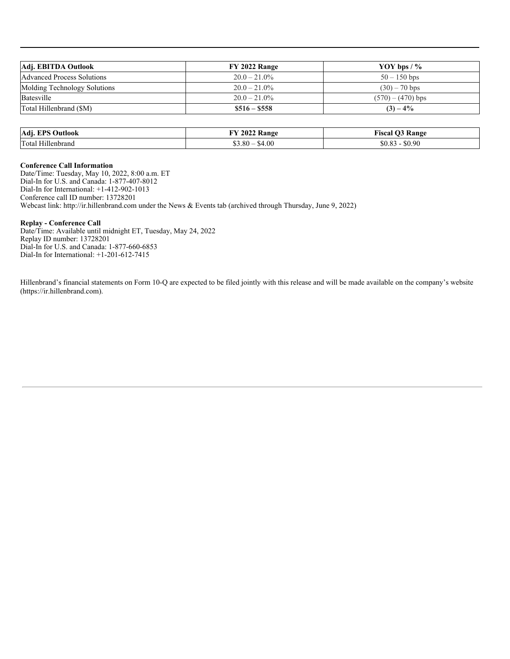| Adj. EBITDA Outlook               | FY 2022 Range   | YOY bps $/$ %       |
|-----------------------------------|-----------------|---------------------|
| <b>Advanced Process Solutions</b> | $20.0 - 21.0\%$ | $50 - 150$ bps      |
| Molding Technology Solutions      | $20.0 - 21.0\%$ | $(30) - 70$ bps     |
| Batesville                        | $20.0 - 21.0\%$ | $(570) - (470)$ bps |
| Total Hillenbrand (\$M)           | $\$516 - \$558$ | $(3) - 4\%$         |

| Adj.<br>EPS<br>Dutlook | 2022 Range      | ÷.<br>Range<br>TCAO<br>24 ISL af |
|------------------------|-----------------|----------------------------------|
| Total<br>Hillenbrand   | \$4.00<br>63.80 | \$0.90                           |

# **Conference Call Information**

Date/Time: Tuesday, May 10, 2022, 8:00 a.m. ET Dial-In for U.S. and Canada: 1-877-407-8012 Dial-In for International: +1-412-902-1013 Conference call ID number: 13728201 Webcast link: http://ir.hillenbrand.com under the News & Events tab (archived through Thursday, June 9, 2022)

## **Replay - Conference Call**

Date/Time: Available until midnight ET, Tuesday, May 24, 2022 Replay ID number: 13728201 Dial-In for U.S. and Canada: 1-877-660-6853 Dial-In for International: +1-201-612-7415

Hillenbrand's financial statements on Form 10-Q are expected to be filed jointly with this release and will be made available on the company's website (https://ir.hillenbrand.com).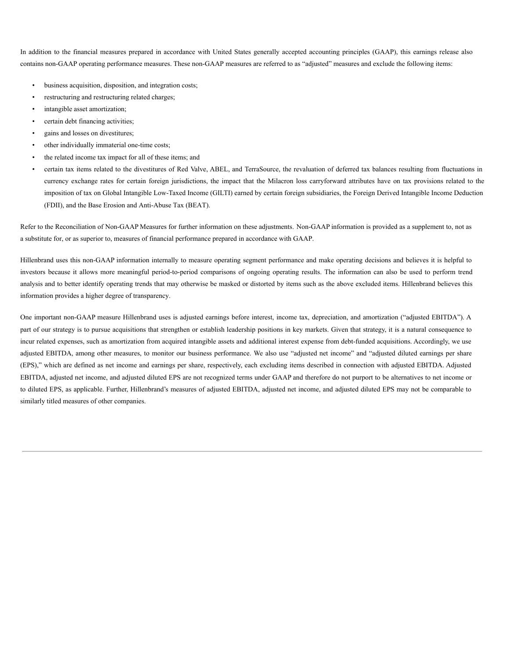In addition to the financial measures prepared in accordance with United States generally accepted accounting principles (GAAP), this earnings release also contains non-GAAP operating performance measures. These non-GAAP measures are referred to as "adjusted" measures and exclude the following items:

- business acquisition, disposition, and integration costs;
- restructuring and restructuring related charges;
- intangible asset amortization;
- certain debt financing activities;
- gains and losses on divestitures;
- other individually immaterial one-time costs;
- the related income tax impact for all of these items; and
- certain tax items related to the divestitures of Red Valve, ABEL, and TerraSource, the revaluation of deferred tax balances resulting from fluctuations in currency exchange rates for certain foreign jurisdictions, the impact that the Milacron loss carryforward attributes have on tax provisions related to the imposition of tax on Global Intangible Low-Taxed Income (GILTI) earned by certain foreign subsidiaries, the Foreign Derived Intangible Income Deduction (FDII), and the Base Erosion and Anti-Abuse Tax (BEAT).

Refer to the Reconciliation of Non-GAAP Measures for further information on these adjustments. Non-GAAP information is provided as a supplement to, not as a substitute for, or as superior to, measures of financial performance prepared in accordance with GAAP.

Hillenbrand uses this non-GAAP information internally to measure operating segment performance and make operating decisions and believes it is helpful to investors because it allows more meaningful period-to-period comparisons of ongoing operating results. The information can also be used to perform trend analysis and to better identify operating trends that may otherwise be masked or distorted by items such as the above excluded items. Hillenbrand believes this information provides a higher degree of transparency.

One important non-GAAP measure Hillenbrand uses is adjusted earnings before interest, income tax, depreciation, and amortization ("adjusted EBITDA"). A part of our strategy is to pursue acquisitions that strengthen or establish leadership positions in key markets. Given that strategy, it is a natural consequence to incur related expenses, such as amortization from acquired intangible assets and additional interest expense from debt-funded acquisitions. Accordingly, we use adjusted EBITDA, among other measures, to monitor our business performance. We also use "adjusted net income" and "adjusted diluted earnings per share (EPS)," which are defined as net income and earnings per share, respectively, each excluding items described in connection with adjusted EBITDA. Adjusted EBITDA, adjusted net income, and adjusted diluted EPS are not recognized terms under GAAP and therefore do not purport to be alternatives to net income or to diluted EPS, as applicable. Further, Hillenbrand's measures of adjusted EBITDA, adjusted net income, and adjusted diluted EPS may not be comparable to similarly titled measures of other companies.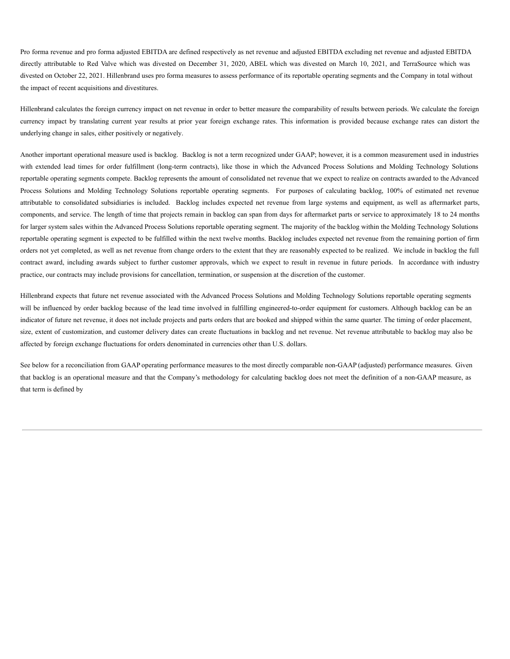Pro forma revenue and pro forma adjusted EBITDA are defined respectively as net revenue and adjusted EBITDA excluding net revenue and adjusted EBITDA directly attributable to Red Valve which was divested on December 31, 2020, ABEL which was divested on March 10, 2021, and TerraSource which was divested on October 22, 2021. Hillenbrand uses pro forma measures to assess performance of its reportable operating segments and the Company in total without the impact of recent acquisitions and divestitures.

Hillenbrand calculates the foreign currency impact on net revenue in order to better measure the comparability of results between periods. We calculate the foreign currency impact by translating current year results at prior year foreign exchange rates. This information is provided because exchange rates can distort the underlying change in sales, either positively or negatively.

Another important operational measure used is backlog. Backlog is not a term recognized under GAAP; however, it is a common measurement used in industries with extended lead times for order fulfillment (long-term contracts), like those in which the Advanced Process Solutions and Molding Technology Solutions reportable operating segments compete. Backlog represents the amount of consolidated net revenue that we expect to realize on contracts awarded to the Advanced Process Solutions and Molding Technology Solutions reportable operating segments. For purposes of calculating backlog, 100% of estimated net revenue attributable to consolidated subsidiaries is included. Backlog includes expected net revenue from large systems and equipment, as well as aftermarket parts, components, and service. The length of time that projects remain in backlog can span from days for aftermarket parts or service to approximately 18 to 24 months for larger system sales within the Advanced Process Solutions reportable operating segment. The majority of the backlog within the Molding Technology Solutions reportable operating segment is expected to be fulfilled within the next twelve months. Backlog includes expected net revenue from the remaining portion of firm orders not yet completed, as well as net revenue from change orders to the extent that they are reasonably expected to be realized. We include in backlog the full contract award, including awards subject to further customer approvals, which we expect to result in revenue in future periods. In accordance with industry practice, our contracts may include provisions for cancellation, termination, or suspension at the discretion of the customer.

Hillenbrand expects that future net revenue associated with the Advanced Process Solutions and Molding Technology Solutions reportable operating segments will be influenced by order backlog because of the lead time involved in fulfilling engineered-to-order equipment for customers. Although backlog can be an indicator of future net revenue, it does not include projects and parts orders that are booked and shipped within the same quarter. The timing of order placement, size, extent of customization, and customer delivery dates can create fluctuations in backlog and net revenue. Net revenue attributable to backlog may also be affected by foreign exchange fluctuations for orders denominated in currencies other than U.S. dollars.

See below for a reconciliation from GAAP operating performance measures to the most directly comparable non-GAAP (adjusted) performance measures. Given that backlog is an operational measure and that the Company's methodology for calculating backlog does not meet the definition of a non-GAAP measure, as that term is defined by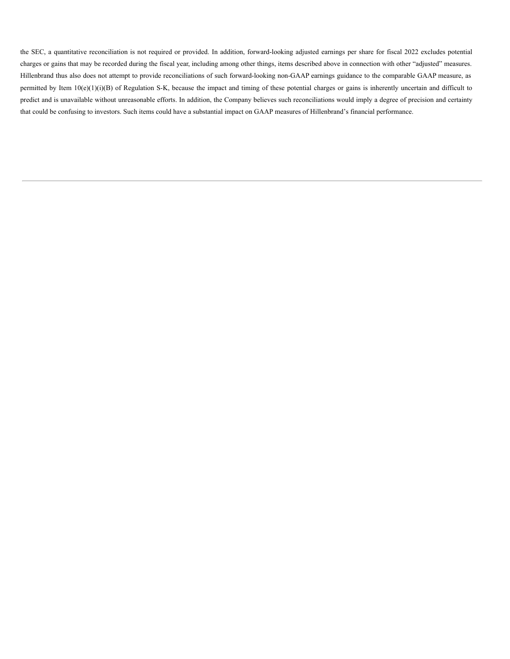the SEC, a quantitative reconciliation is not required or provided. In addition, forward-looking adjusted earnings per share for fiscal 2022 excludes potential charges or gains that may be recorded during the fiscal year, including among other things, items described above in connection with other "adjusted" measures. Hillenbrand thus also does not attempt to provide reconciliations of such forward-looking non-GAAP earnings guidance to the comparable GAAP measure, as permitted by Item  $10(e)(1)(i)(B)$  of Regulation S-K, because the impact and timing of these potential charges or gains is inherently uncertain and difficult to predict and is unavailable without unreasonable efforts. In addition, the Company believes such reconciliations would imply a degree of precision and certainty that could be confusing to investors. Such items could have a substantial impact on GAAP measures of Hillenbrand's financial performance.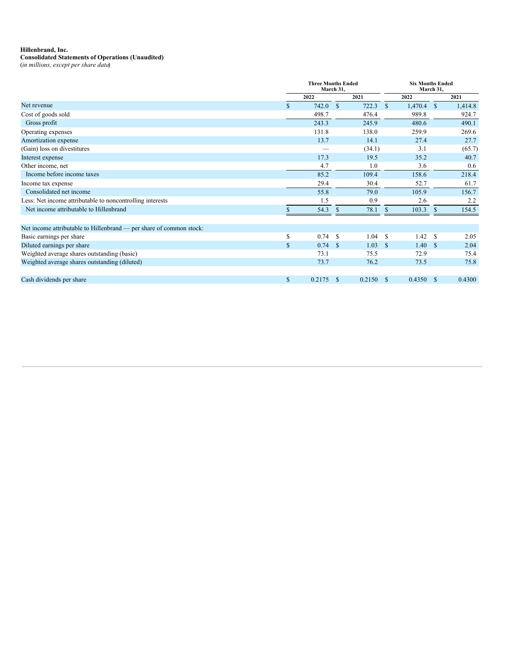#### <span id="page-10-0"></span>**Hillenbrand, Inc.**

### **Consolidated Statements of Operations (Unaudited)**

(*in millions, except per share data*)

|                                                                     | <b>Three Months Ended</b><br>March 31, |        |              | <b>Six Months Ended</b><br>March 31, |               |         |      |         |
|---------------------------------------------------------------------|----------------------------------------|--------|--------------|--------------------------------------|---------------|---------|------|---------|
|                                                                     |                                        | 2022   |              | 2021                                 |               | 2022    |      | 2021    |
| Net revenue                                                         | $\mathbf{s}$                           | 742.0  | <sup>S</sup> | 722.3                                | -\$           | 1,470.4 | -S   | 1,414.8 |
| Cost of goods sold                                                  |                                        | 498.7  |              | 476.4                                |               | 989.8   |      | 924.7   |
| Gross profit                                                        |                                        | 243.3  |              | 245.9                                |               | 480.6   |      | 490.1   |
| Operating expenses                                                  |                                        | 131.8  |              | 138.0                                |               | 259.9   |      | 269.6   |
| Amortization expense                                                |                                        | 13.7   |              | 14.1                                 |               | 27.4    |      | 27.7    |
| (Gain) loss on divestitures                                         |                                        |        |              | (34.1)                               |               | 3.1     |      | (65.7)  |
| Interest expense                                                    |                                        | 17.3   |              | 19.5                                 |               | 35.2    |      | 40.7    |
| Other income, net                                                   |                                        | 4.7    |              | 1.0                                  |               | 3.6     |      | 0.6     |
| Income before income taxes                                          |                                        | 85.2   |              | 109.4                                |               | 158.6   |      | 218.4   |
| Income tax expense                                                  |                                        | 29.4   |              | 30.4                                 |               | 52.7    |      | 61.7    |
| Consolidated net income                                             |                                        | 55.8   |              | 79.0                                 |               | 105.9   |      | 156.7   |
| Less: Net income attributable to noncontrolling interests           |                                        | 1.5    |              | 0.9                                  |               | 2.6     |      | 2.2     |
| Net income attributable to Hillenbrand                              |                                        | 54.3   | \$           | 78.1                                 | <sup>\$</sup> | 103.3   | \$   | 154.5   |
| Net income attributable to Hillenbrand — per share of common stock: |                                        |        |              |                                      |               |         |      |         |
| Basic earnings per share                                            | S                                      | 0.74   | -8           | 1.04                                 | - \$          | 1.42    | -8   | 2.05    |
| Diluted earnings per share                                          | $\mathbb{S}$                           | 0.74   | - \$         | 1.03                                 | - \$          | 1.40    | - \$ | 2.04    |
| Weighted average shares outstanding (basic)                         |                                        | 73.1   |              | 75.5                                 |               | 72.9    |      | 75.4    |
| Weighted average shares outstanding (diluted)                       |                                        | 73.7   |              | 76.2                                 |               | 73.5    |      | 75.8    |
| Cash dividends per share                                            | \$                                     | 0.2175 | -S           | 0.2150                               | - \$          | 0.4350  | - \$ | 0.4300  |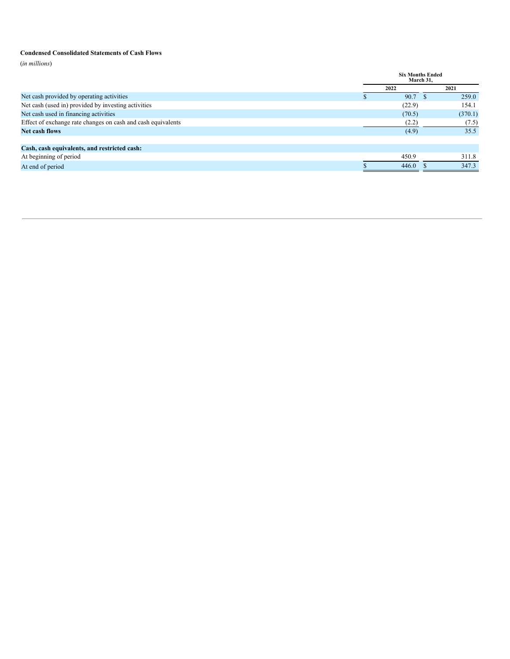### **Condensed Consolidated Statements of Cash Flows**

(*in millions*)

|                                                              | <b>Six Months Ended</b><br>March 31, |  |         |
|--------------------------------------------------------------|--------------------------------------|--|---------|
|                                                              | 2022                                 |  | 2021    |
| Net cash provided by operating activities                    | 90.7                                 |  | 259.0   |
| Net cash (used in) provided by investing activities          | (22.9)                               |  | 154.1   |
| Net cash used in financing activities                        | (70.5)                               |  | (370.1) |
| Effect of exchange rate changes on cash and cash equivalents | (2.2)                                |  | (7.5)   |
| Net cash flows                                               | (4.9)                                |  | 35.5    |
|                                                              |                                      |  |         |
| Cash, cash equivalents, and restricted cash:                 |                                      |  |         |
| At beginning of period                                       | 450.9                                |  | 311.8   |
| At end of period                                             | 446.0                                |  | 347.3   |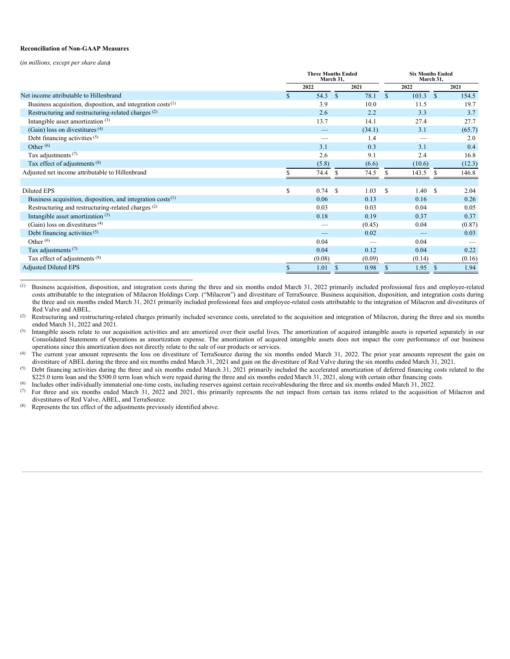#### **Reconciliation of Non-GAAP Measures**

(*in millions, except per share data*)

|                                                                  | <b>Three Months Ended</b><br>March 31, |        |               |        | <b>Six Months Ended</b><br>March 31, |        |               |        |
|------------------------------------------------------------------|----------------------------------------|--------|---------------|--------|--------------------------------------|--------|---------------|--------|
|                                                                  |                                        | 2022   |               | 2021   |                                      | 2022   |               | 2021   |
| Net income attributable to Hillenbrand                           |                                        | 54.3   | $\mathbf{s}$  | 78.1   | $\mathcal{S}$                        | 103.3  | $\mathcal{S}$ | 154.5  |
| Business acquisition, disposition, and integration $costs^{(1)}$ |                                        | 3.9    |               | 10.0   |                                      | 11.5   |               | 19.7   |
| Restructuring and restructuring-related charges <sup>(2)</sup>   |                                        | 2.6    |               | 2.2    |                                      | 3.3    |               | 3.7    |
| Intangible asset amortization $(3)$                              |                                        | 13.7   |               | 14.1   |                                      | 27.4   |               | 27.7   |
| (Gain) loss on divestitures $(4)$                                |                                        |        |               | (34.1) |                                      | 3.1    |               | (65.7) |
| Debt financing activities (5)                                    |                                        |        |               | 1.4    |                                      |        |               | 2.0    |
| Other $(6)$                                                      |                                        | 3.1    |               | 0.3    |                                      | 3.1    |               | 0.4    |
| Tax adjustments <sup>(7)</sup>                                   |                                        | 2.6    |               | 9.1    |                                      | 2.4    |               | 16.8   |
| Tax effect of adjustments (8)                                    |                                        | (5.8)  |               | (6.6)  |                                      | (10.6) |               | (12.3) |
| Adjusted net income attributable to Hillenbrand                  |                                        | 74.4   | S             | 74.5   |                                      | 143.5  | <sup>\$</sup> | 146.8  |
|                                                                  |                                        |        |               |        |                                      |        |               |        |
| Diluted EPS                                                      | \$                                     | 0.74   | <sup>\$</sup> | 1.03   | \$.                                  | 1.40   | <sup>\$</sup> | 2.04   |
| Business acquisition, disposition, and integration $costs^{(1)}$ |                                        | 0.06   |               | 0.13   |                                      | 0.16   |               | 0.26   |
| Restructuring and restructuring-related charges <sup>(2)</sup>   |                                        | 0.03   |               | 0.03   |                                      | 0.04   |               | 0.05   |
| Intangible asset amortization <sup>(3)</sup>                     |                                        | 0.18   |               | 0.19   |                                      | 0.37   |               | 0.37   |
| (Gain) loss on divestitures $(4)$                                |                                        |        |               | (0.45) |                                      | 0.04   |               | (0.87) |
| Debt financing activities (5)                                    |                                        |        |               | 0.02   |                                      |        |               | 0.03   |
| Other $^{(6)}$                                                   |                                        | 0.04   |               |        |                                      | 0.04   |               |        |
| Tax adjustments $(7)$                                            |                                        | 0.04   |               | 0.12   |                                      | 0.04   |               | 0.22   |
| Tax effect of adjustments (8)                                    |                                        | (0.08) |               | (0.09) |                                      | (0.14) |               | (0.16) |
| <b>Adjusted Diluted EPS</b>                                      |                                        | 1.01   | S             | 0.98   | \$.                                  | 1.95   | <sup>\$</sup> | 1.94   |

Business acquisition, disposition, and integration costs during the three and six months ended March 31, 2022 primarily included professional fees and employee-related costs attributable to the integration of Milacron Holdings Corp. ("Milacron") and divestiture of TerraSource. Business acquisition, disposition, and integration costs during the three and six months ended March 31, 2021 primarily included professional fees and employee-related costs attributable to the integration of Milacron and divestitures of Red Valve and ABEL. (1)

Restructuring and restructuring-related charges primarily included severance costs, unrelated to the acquisition and integration of Milacron, during the three and six months ended March 31, 2022 and 2021. (2)

Intangible assets relate to our acquisition activities and are amortized over their useful lives. The amortization of acquired intangible assets is reported separately in our Consolidated Statements of Operations as amortization expense. The amortization of acquired intangible assets does not impact the core performance of our business operations since this amortization does not directly relate to the sale of our products or services. (3)

The current year amount represents the loss on divestiture of TerraSource during the six months ended March 31, 2022. The prior year amounts represent the gain on divestiture of ABEL during the three and six months ended March 31, 2021 and gain on the divestiture of Red Valve during the six months ended March 31, 2021. (4)

Debt financing activities during the three and six months ended March 31, 2021 primarily included the accelerated amortization of deferred financing costs related to the \$225.0 term loan and the \$500.0 term loan which were repaid during the three and six months ended March 31, 2021, along with certain other financing costs. (5)

Includes other individually immaterial one-time costs, including reserves against certain receivablesduring the three and six months ended March 31, 2022. (6)

For three and six months ended March 31, 2022 and 2021, this primarily represents the net impact from certain tax items related to the acquisition of Milacron and divestitures of Red Valve, ABEL, and TerraSource. (7)

Represents the tax effect of the adjustments previously identified above. (8)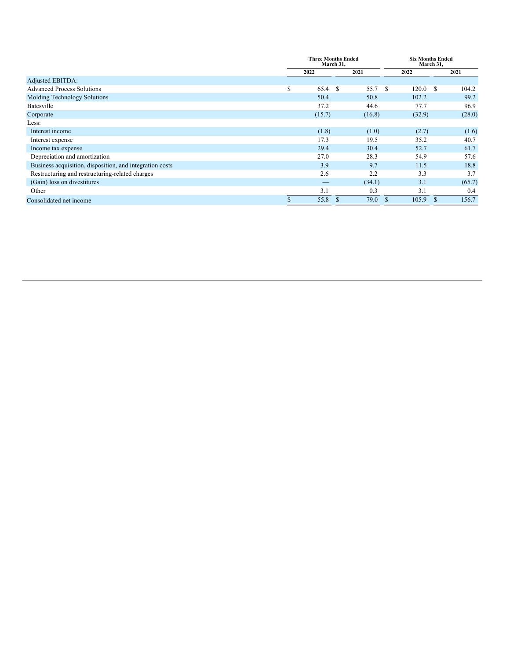|                                                          |    | <b>Three Months Ended</b><br>March 31, |              |        | <b>Six Months Ended</b><br>March 31, |        |               |        |
|----------------------------------------------------------|----|----------------------------------------|--------------|--------|--------------------------------------|--------|---------------|--------|
|                                                          |    | 2022                                   |              | 2021   |                                      | 2022   |               | 2021   |
| <b>Adjusted EBITDA:</b>                                  |    |                                        |              |        |                                      |        |               |        |
| <b>Advanced Process Solutions</b>                        | S  | 65.4                                   | <sup>S</sup> | 55.7   | - \$                                 | 120.0  | $\mathbf{s}$  | 104.2  |
| Molding Technology Solutions                             |    | 50.4                                   |              | 50.8   |                                      | 102.2  |               | 99.2   |
| Batesville                                               |    | 37.2                                   |              | 44.6   |                                      | 77.7   |               | 96.9   |
| Corporate                                                |    | (15.7)                                 |              | (16.8) |                                      | (32.9) |               | (28.0) |
| Less:                                                    |    |                                        |              |        |                                      |        |               |        |
| Interest income                                          |    | (1.8)                                  |              | (1.0)  |                                      | (2.7)  |               | (1.6)  |
| Interest expense                                         |    | 17.3                                   |              | 19.5   |                                      | 35.2   |               | 40.7   |
| Income tax expense                                       |    | 29.4                                   |              | 30.4   |                                      | 52.7   |               | 61.7   |
| Depreciation and amortization                            |    | 27.0                                   |              | 28.3   |                                      | 54.9   |               | 57.6   |
| Business acquisition, disposition, and integration costs |    | 3.9                                    |              | 9.7    |                                      | 11.5   |               | 18.8   |
| Restructuring and restructuring-related charges          |    | 2.6                                    |              | 2.2    |                                      | 3.3    |               | 3.7    |
| (Gain) loss on divestitures                              |    |                                        |              | (34.1) |                                      | 3.1    |               | (65.7) |
| Other                                                    |    | 3.1                                    |              | 0.3    |                                      | 3.1    |               | 0.4    |
| Consolidated net income                                  | ъ. | 55.8                                   |              | 79.0   | <sup>\$</sup>                        | 105.9  | <sup>\$</sup> | 156.7  |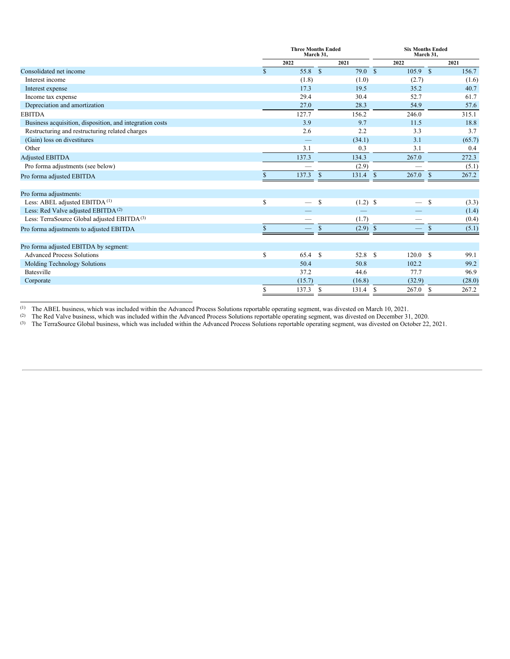|                                                          |              | <b>Three Months Ended</b><br>March 31. |              |            |              | <b>Six Months Ended</b><br>March 31. |               |        |  |
|----------------------------------------------------------|--------------|----------------------------------------|--------------|------------|--------------|--------------------------------------|---------------|--------|--|
|                                                          |              | 2022                                   |              | 2021       |              | 2022                                 |               | 2021   |  |
| Consolidated net income                                  | \$.          | 55.8 \$                                |              | 79.0 S     |              | $105.9$ \$                           |               | 156.7  |  |
| Interest income                                          |              | (1.8)                                  |              | (1.0)      |              | (2.7)                                |               | (1.6)  |  |
| Interest expense                                         |              | 17.3                                   |              | 19.5       |              | 35.2                                 |               | 40.7   |  |
| Income tax expense                                       |              | 29.4                                   |              | 30.4       |              | 52.7                                 |               | 61.7   |  |
| Depreciation and amortization                            |              | 27.0                                   |              | 28.3       |              | 54.9                                 |               | 57.6   |  |
| <b>EBITDA</b>                                            |              | 127.7                                  |              | 156.2      |              | 246.0                                |               | 315.1  |  |
| Business acquisition, disposition, and integration costs |              | 3.9                                    |              | 9.7        |              | 11.5                                 |               | 18.8   |  |
| Restructuring and restructuring related charges          |              | 2.6                                    |              | 2.2        |              | 3.3                                  |               | 3.7    |  |
| (Gain) loss on divestitures                              |              |                                        |              | (34.1)     |              | 3.1                                  |               | (65.7) |  |
| Other                                                    |              | 3.1                                    |              | 0.3        |              | 3.1                                  |               | 0.4    |  |
| <b>Adjusted EBITDA</b>                                   |              | 137.3                                  |              | 134.3      |              | 267.0                                |               | 272.3  |  |
| Pro forma adjustments (see below)                        |              |                                        |              | (2.9)      |              |                                      |               | (5.1)  |  |
| Pro forma adjusted EBITDA                                |              | 137.3                                  | S            | 131.4      | $\mathbf{s}$ | 267.0                                | <sup>\$</sup> | 267.2  |  |
| Pro forma adjustments:                                   |              |                                        |              |            |              |                                      |               |        |  |
| Less: ABEL adjusted EBITDA <sup>(1)</sup>                | \$           |                                        | <sup>S</sup> | $(1.2)$ \$ |              |                                      | <sup>\$</sup> | (3.3)  |  |
| Less: Red Valve adjusted EBITDA <sup>(2)</sup>           |              |                                        |              |            |              |                                      |               | (1.4)  |  |
| Less: TerraSource Global adjusted EBITDA <sup>(3)</sup>  |              |                                        |              | (1.7)      |              |                                      |               | (0.4)  |  |
| Pro forma adjustments to adjusted EBITDA                 | $\mathbb{S}$ |                                        | \$           | $(2.9)$ \$ |              |                                      | $\mathcal{S}$ | (5.1)  |  |
| Pro forma adjusted EBITDA by segment:                    |              |                                        |              |            |              |                                      |               |        |  |
| <b>Advanced Process Solutions</b>                        | \$           | 65.4 S                                 |              | 52.8 \$    |              | 120.0                                | $\mathcal{S}$ | 99.1   |  |
| Molding Technology Solutions                             |              | 50.4                                   |              | 50.8       |              | 102.2                                |               | 99.2   |  |
| Batesville                                               |              | 37.2                                   |              | 44.6       |              | 77.7                                 |               | 96.9   |  |
| Corporate                                                |              | (15.7)                                 |              | (16.8)     |              | (32.9)                               |               | (28.0) |  |
|                                                          | \$           | 137.3                                  | S            | 131.4      | S            | 267.0                                | S             | 267.2  |  |

The ABEL business, which was included within the Advanced Process Solutions reportable operating segment, was divested on March 10, 2021. (1)

The Red Valve business, which was included within the Advanced Process Solutions reportable operating segment, was divested on December 31, 2020. (2)

The TerraSource Global business, which was included within the Advanced Process Solutions reportable operating segment, was divested on October 22, 2021. (3)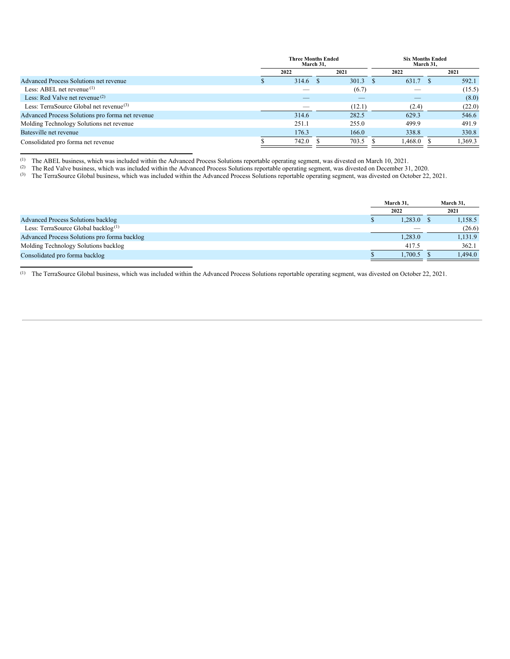|                                                  | <b>Three Months Ended</b><br>March 31, |  |        | <b>Six Months Ended</b> | March 31, |         |
|--------------------------------------------------|----------------------------------------|--|--------|-------------------------|-----------|---------|
|                                                  | 2022                                   |  | 2021   | 2022                    |           | 2021    |
| Advanced Process Solutions net revenue           | 314.6                                  |  | 301.3  | 631.7                   |           | 592.1   |
| Less: ABEL net revenue $(1)$                     |                                        |  | (6.7)  |                         |           | (15.5)  |
| Less: Red Valve net revenue <sup>(2)</sup>       | _                                      |  |        |                         |           | (8.0)   |
| Less: TerraSource Global net revenue $(3)$       |                                        |  | (12.1) | (2.4)                   |           | (22.0)  |
| Advanced Process Solutions pro forma net revenue | 314.6                                  |  | 282.5  | 629.3                   |           | 546.6   |
| Molding Technology Solutions net revenue         | 251.1                                  |  | 255.0  | 499.9                   |           | 491.9   |
| Batesville net revenue                           | 176.3                                  |  | 166.0  | 338.8                   |           | 330.8   |
| Consolidated pro forma net revenue               | 742.0                                  |  | 703.5  | 1.468.0                 |           | 1.369.3 |

The ABEL business, which was included within the Advanced Process Solutions reportable operating segment, was divested on March 10, 2021. (1)

The Red Valve business, which was included within the Advanced Process Solutions reportable operating segment, was divested on December 31, 2020. (2)

<sup>(3)</sup> The TerraSource Global business, which was included within the Advanced Process Solutions reportable operating segment, was divested on October 22, 2021.

|                                                 | March 31. | March 31, |
|-------------------------------------------------|-----------|-----------|
|                                                 | 2022      | 2021      |
| Advanced Process Solutions backlog              | 1,283.0   | 1,158.5   |
| Less: TerraSource Global backlog <sup>(1)</sup> | _         | (26.6)    |
| Advanced Process Solutions pro forma backlog    | 1,283.0   | 1,131.9   |
| Molding Technology Solutions backlog            | 417.5     | 362.1     |
| Consolidated pro forma backlog                  | 1.700.5   | 1.494.0   |

 $(1)$  The TerraSource Global business, which was included within the Advanced Process Solutions reportable operating segment, was divested on October 22, 2021.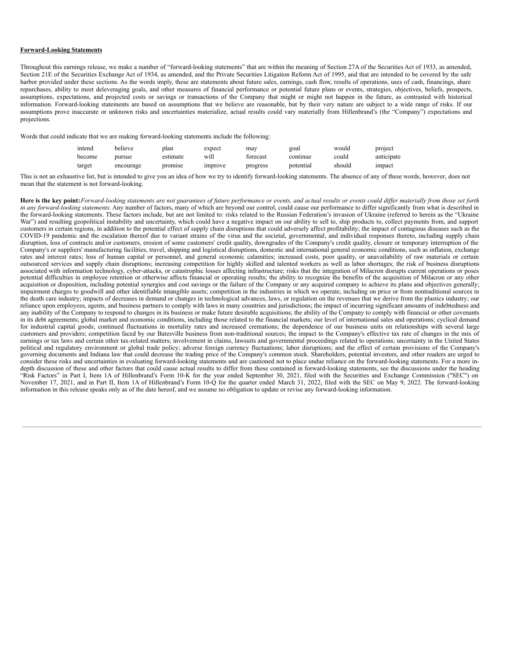### **Forward-Looking Statements**

Throughout this earnings release, we make a number of "forward-looking statements" that are within the meaning of Section 27A of the Securities Act of 1933, as amended, Section 21E of the Securities Exchange Act of 1934, as amended, and the Private Securities Litigation Reform Act of 1995, and that are intended to be covered by the safe harbor provided under these sections. As the words imply, these are statements about future sales, earnings, cash flow, results of operations, uses of cash, financings, share repurchases, ability to meet deleveraging goals, and other measures of financial performance or potential future plans or events, strategies, objectives, beliefs, prospects, assumptions, expectations, and projected costs or savings or transactions of the Company that might or might not happen in the future, as contrasted with historical information. Forward-looking statements are based on assumptions that we believe are reasonable, but by their very nature are subject to a wide range of risks. If our assumptions prove inaccurate or unknown risks and uncertainties materialize, actual results could vary materially from Hillenbrand's (the "Company") expectations and projections.

Words that could indicate that we are making forward-looking statements include the following:

| intend | believe   | plan     | expect  | mav      | goal      | would  | project    |
|--------|-----------|----------|---------|----------|-----------|--------|------------|
| become | pursue    | estimate | will    | forecast | continue  | could  | anticipate |
| target | encourage | promise  | improve | progress | potential | should | impact     |

This is not an exhaustive list, but is intended to give you an idea of how we try to identify forward-looking statements. The absence of any of these words, however, does not mean that the statement is not forward-looking.

Here is the key point: Forward-looking statements are not guarantees of future performance or events, and actual results or events could differ materially from those set forth *in any forward-looking statements*. Any number of factors, many of which are beyond our control, could cause our performance to differ significantly from what is described in the forward-looking statements. These factors include, but are not limited to: risks related to the Russian Federation's invasion of Ukraine (referred to herein as the "Ukraine War") and resulting geopolitical instability and uncertainty, which could have a negative impact on our ability to sell to, ship products to, collect payments from, and support customers in certain regions, in addition to the potential effect of supply chain disruptions that could adversely affect profitability; the impact of contagious diseases such as the COVID-19 pandemic and the escalation thereof due to variant strains of the virus and the societal, governmental, and individual responses thereto, including supply chain disruption, loss of contracts and/or customers, erosion of some customers' credit quality, downgrades of the Company's credit quality, closure or temporary interruption of the Company's or suppliers' manufacturing facilities, travel, shipping and logistical disruptions, domestic and international general economic conditions, such as inflation, exchange rates and interest rates; loss of human capital or personnel, and general economic calamities; increased costs, poor quality, or unavailability of raw materials or certain outsourced services and supply chain disruptions; increasing competition for highly skilled and talented workers as well as labor shortages; the risk of business disruptions associated with information technology, cyber-attacks, or catastrophic losses affecting infrastructure; risks that the integration of Milacron disrupts current operations or poses potential difficulties in employee retention or otherwise affects financial or operating results; the ability to recognize the benefits of the acquisition of Milacron or any other acquisition or disposition, including potential synergies and cost savings or the failure of the Company or any acquired company to achieve its plans and objectives generally; impairment charges to goodwill and other identifiable intangible assets; competition in the industries in which we operate, including on price or from nontraditional sources in the death care industry; impacts of decreases in demand or changes in technological advances, laws, or regulation on the revenues that we derive from the plastics industry; our reliance upon employees, agents, and business partners to comply with laws in many countries and jurisdictions; the impact of incurring significant amounts of indebtedness and any inability of the Company to respond to changes in its business or make future desirable acquisitions; the ability of the Company to comply with financial or other covenants in its debt agreements; global market and economic conditions, including those related to the financial markets; our level of international sales and operations; cyclical demand for industrial capital goods; continued fluctuations in mortality rates and increased cremations; the dependence of our business units on relationships with several large customers and providers; competition faced by our Batesville business from non-traditional sources; the impact to the Company's effective tax rate of changes in the mix of earnings or tax laws and certain other tax-related matters; involvement in claims, lawsuits and governmental proceedings related to operations; uncertainty in the United States political and regulatory environment or global trade policy; adverse foreign currency fluctuations; labor disruptions; and the effect of certain provisions of the Company's governing documents and Indiana law that could decrease the trading price of the Company's common stock. Shareholders, potential investors, and other readers are urged to consider these risks and uncertainties in evaluating forward-looking statements and are cautioned not to place undue reliance on the forward-looking statements. For a more indepth discussion of these and other factors that could cause actual results to differ from those contained in forward-looking statements, see the discussions under the heading "Risk Factors" in Part I, Item 1A of Hillenbrand's Form 10-K for the year ended September 30, 2021, filed with the Securities and Exchange Commission ("SEC") on November 17, 2021, and in Part II, Item 1A of Hillenbrand's Form 10-O for the quarter ended March 31, 2022, filed with the SEC on May 9, 2022. The forward-looking information in this release speaks only as of the date hereof, and we assume no obligation to update or revise any forward-looking information.